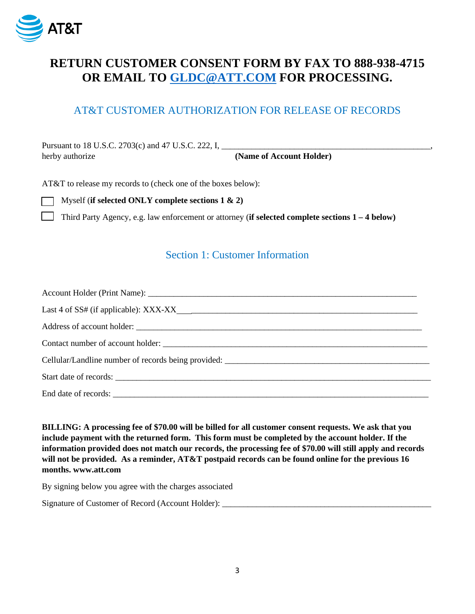

### **RETURN CUSTOMER CONSENT FORM BY FAX TO 888-938-4715 OR EMAIL TO [GLDC@ATT.COM](mailto:GLDC@ATT.COM) FOR PROCESSING.**

#### AT&T CUSTOMER AUTHORIZATION FOR RELEASE OF RECORDS

Pursuant to 18 U.S.C. 2703(c) and 47 U.S.C. 222, I, herby authorize **(Name of Account Holder)**

AT&T to release my records to (check one of the boxes below):

Myself (**if selected ONLY complete sections 1 & 2)**

Third Party Agency, e.g. law enforcement or attorney (**if selected complete sections 1 – 4 below)**

#### Section 1: Customer Information

| Address of account holder:                                                       |  |  |  |  |
|----------------------------------------------------------------------------------|--|--|--|--|
|                                                                                  |  |  |  |  |
| Cellular/Landline number of records being provided: ____________________________ |  |  |  |  |
|                                                                                  |  |  |  |  |
|                                                                                  |  |  |  |  |

**BILLING: A processing fee of \$70.00 will be billed for all customer consent requests. We ask that you include payment with the returned form. This form must be completed by the account holder. If the information provided does not match our records, the processing fee of \$70.00 will still apply and records will not be provided. As a reminder, AT&T postpaid records can be found online for the previous 16 months. www.att.com**

By signing below you agree with the charges associated

Signature of Customer of Record (Account Holder): \_\_\_\_\_\_\_\_\_\_\_\_\_\_\_\_\_\_\_\_\_\_\_\_\_\_\_\_\_\_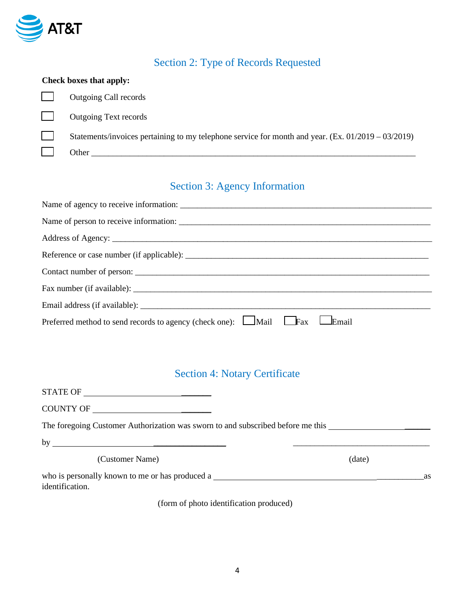

# Section 2: Type of Records Requested

| Check boxes that apply: |                                                                                                       |  |  |  |
|-------------------------|-------------------------------------------------------------------------------------------------------|--|--|--|
|                         | Outgoing Call records                                                                                 |  |  |  |
|                         | <b>Outgoing Text records</b>                                                                          |  |  |  |
|                         | Statements/invoices pertaining to my telephone service for month and year. (Ex. $01/2019 - 03/2019$ ) |  |  |  |
|                         | Other                                                                                                 |  |  |  |

# Section 3: Agency Information

| Preferred method to send records to agency (check one): Mail Fax Email |
|------------------------------------------------------------------------|

# Section 4: Notary Certificate

| COUNTY OF                                                                                            |        |    |
|------------------------------------------------------------------------------------------------------|--------|----|
| The foregoing Customer Authorization was sworn to and subscribed before me this ____________________ |        |    |
|                                                                                                      |        |    |
| (Customer Name)                                                                                      | (date) |    |
| who is personally known to me or has produced a<br>identification.                                   |        | as |
| (form of photo identification produced)                                                              |        |    |